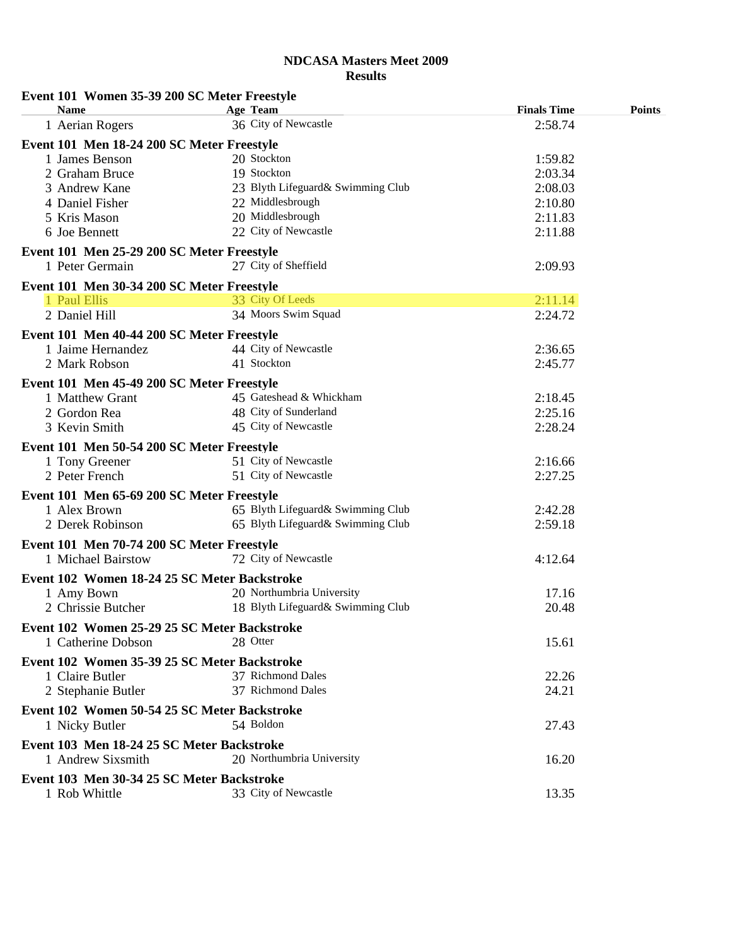| Event 101 Women 35-39 200 SC Meter Freestyle<br><b>Name</b> | Age Team                          | <b>Finals Time</b> | <b>Points</b> |
|-------------------------------------------------------------|-----------------------------------|--------------------|---------------|
| 1 Aerian Rogers                                             | 36 City of Newcastle              | 2:58.74            |               |
| Event 101 Men 18-24 200 SC Meter Freestyle                  |                                   |                    |               |
| 1 James Benson                                              | 20 Stockton                       | 1:59.82            |               |
| 2 Graham Bruce                                              | 19 Stockton                       | 2:03.34            |               |
| 3 Andrew Kane                                               | 23 Blyth Lifeguard& Swimming Club | 2:08.03            |               |
| 4 Daniel Fisher                                             | 22 Middlesbrough                  | 2:10.80            |               |
| 5 Kris Mason                                                | 20 Middlesbrough                  |                    |               |
| 6 Joe Bennett                                               | 22 City of Newcastle              | 2:11.83<br>2:11.88 |               |
| Event 101 Men 25-29 200 SC Meter Freestyle                  |                                   |                    |               |
| 1 Peter Germain                                             | 27 City of Sheffield              | 2:09.93            |               |
| Event 101 Men 30-34 200 SC Meter Freestyle                  |                                   |                    |               |
| 1 Paul Ellis                                                | 33 City Of Leeds                  | 2:11.14            |               |
| 2 Daniel Hill                                               | 34 Moors Swim Squad               | 2:24.72            |               |
| Event 101 Men 40-44 200 SC Meter Freestyle                  |                                   |                    |               |
|                                                             | 44 City of Newcastle              |                    |               |
| 1 Jaime Hernandez                                           | 41 Stockton                       | 2:36.65<br>2:45.77 |               |
| 2 Mark Robson                                               |                                   |                    |               |
| Event 101 Men 45-49 200 SC Meter Freestyle                  |                                   |                    |               |
| 1 Matthew Grant                                             | 45 Gateshead & Whickham           | 2:18.45            |               |
| 2 Gordon Rea                                                | 48 City of Sunderland             | 2:25.16            |               |
| 3 Kevin Smith                                               | 45 City of Newcastle              | 2:28.24            |               |
| Event 101 Men 50-54 200 SC Meter Freestyle                  |                                   |                    |               |
| 1 Tony Greener                                              | 51 City of Newcastle              | 2:16.66            |               |
| 2 Peter French                                              | 51 City of Newcastle              | 2:27.25            |               |
| Event 101 Men 65-69 200 SC Meter Freestyle                  |                                   |                    |               |
| 1 Alex Brown                                                | 65 Blyth Lifeguard& Swimming Club | 2:42.28            |               |
| 2 Derek Robinson                                            | 65 Blyth Lifeguard& Swimming Club | 2:59.18            |               |
| Event 101 Men 70-74 200 SC Meter Freestyle                  |                                   |                    |               |
| 1 Michael Bairstow                                          | 72 City of Newcastle              | 4:12.64            |               |
|                                                             |                                   |                    |               |
| Event 102 Women 18-24 25 SC Meter Backstroke                |                                   |                    |               |
| 1 Amy Bown                                                  | 20 Northumbria University         | 17.16              |               |
| 2 Chrissie Butcher                                          | 18 Blyth Lifeguard& Swimming Club | 20.48              |               |
| Event 102 Women 25-29 25 SC Meter Backstroke                |                                   |                    |               |
| 1 Catherine Dobson                                          | 28 Otter                          | 15.61              |               |
| Event 102 Women 35-39 25 SC Meter Backstroke                |                                   |                    |               |
| 1 Claire Butler                                             | 37 Richmond Dales                 | 22.26              |               |
| 2 Stephanie Butler                                          | 37 Richmond Dales                 | 24.21              |               |
| Event 102 Women 50-54 25 SC Meter Backstroke                |                                   |                    |               |
|                                                             |                                   |                    |               |
| 1 Nicky Butler                                              | 54 Boldon                         | 27.43              |               |
| Event 103 Men 18-24 25 SC Meter Backstroke                  |                                   |                    |               |
| 1 Andrew Sixsmith                                           | 20 Northumbria University         | 16.20              |               |
| Event 103 Men 30-34 25 SC Meter Backstroke                  |                                   |                    |               |
| 1 Rob Whittle                                               | 33 City of Newcastle              | 13.35              |               |
|                                                             |                                   |                    |               |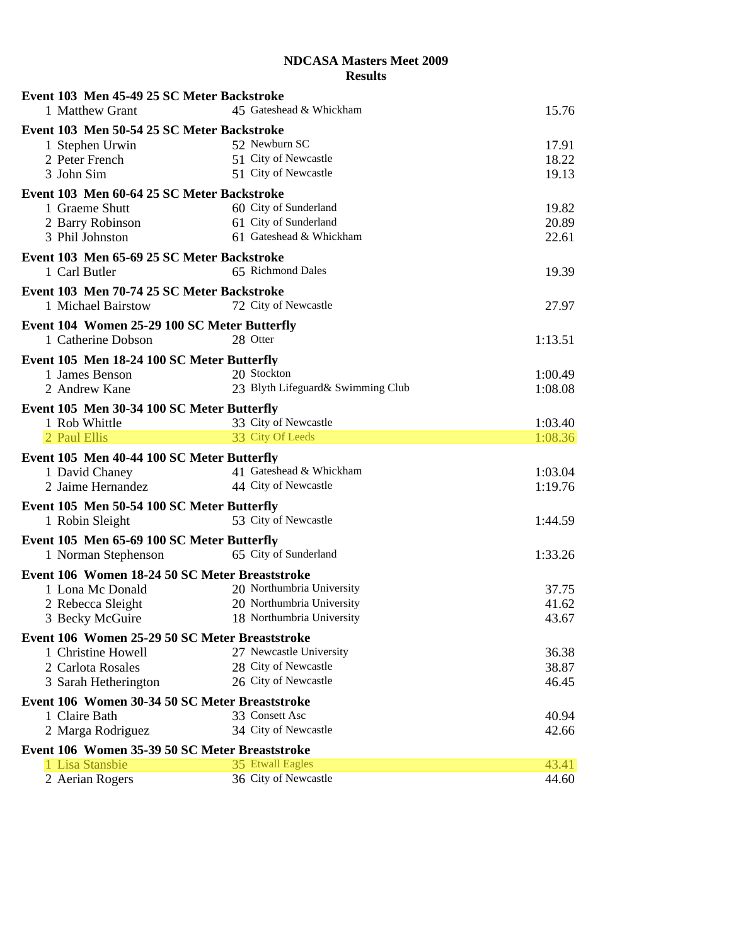| Event 103 Men 45-49 25 SC Meter Backstroke                           |                                          |                |
|----------------------------------------------------------------------|------------------------------------------|----------------|
| 1 Matthew Grant                                                      | 45 Gateshead & Whickham                  | 15.76          |
| Event 103 Men 50-54 25 SC Meter Backstroke                           |                                          |                |
| 1 Stephen Urwin                                                      | 52 Newburn SC                            | 17.91          |
| 2 Peter French                                                       | 51 City of Newcastle                     | 18.22          |
| 3 John Sim                                                           | 51 City of Newcastle                     | 19.13          |
| Event 103 Men 60-64 25 SC Meter Backstroke                           |                                          |                |
| 1 Graeme Shutt                                                       | 60 City of Sunderland                    | 19.82          |
| 2 Barry Robinson                                                     | 61 City of Sunderland                    | 20.89          |
| 3 Phil Johnston                                                      | 61 Gateshead & Whickham                  | 22.61          |
| Event 103 Men 65-69 25 SC Meter Backstroke                           |                                          |                |
| 1 Carl Butler                                                        | 65 Richmond Dales                        | 19.39          |
| Event 103 Men 70-74 25 SC Meter Backstroke                           |                                          |                |
| 1 Michael Bairstow                                                   | 72 City of Newcastle                     | 27.97          |
| Event 104 Women 25-29 100 SC Meter Butterfly                         |                                          |                |
| 1 Catherine Dobson                                                   | 28 Otter                                 | 1:13.51        |
| Event 105 Men 18-24 100 SC Meter Butterfly                           |                                          |                |
| 1 James Benson                                                       | 20 Stockton                              | 1:00.49        |
| 2 Andrew Kane                                                        | 23 Blyth Lifeguard& Swimming Club        | 1:08.08        |
| Event 105 Men 30-34 100 SC Meter Butterfly                           |                                          |                |
| 1 Rob Whittle                                                        | 33 City of Newcastle                     | 1:03.40        |
| 2 Paul Ellis                                                         | 33 City Of Leeds                         | 1:08.36        |
| Event 105 Men 40-44 100 SC Meter Butterfly                           |                                          |                |
| 1 David Chaney                                                       | 41 Gateshead & Whickham                  | 1:03.04        |
| 2 Jaime Hernandez                                                    | 44 City of Newcastle                     | 1:19.76        |
| Event 105 Men 50-54 100 SC Meter Butterfly                           |                                          |                |
| 1 Robin Sleight                                                      | 53 City of Newcastle                     | 1:44.59        |
|                                                                      |                                          |                |
| Event 105 Men 65-69 100 SC Meter Butterfly<br>1 Norman Stephenson    | 65 City of Sunderland                    | 1:33.26        |
|                                                                      |                                          |                |
| Event 106 Women 18-24 50 SC Meter Breaststroke                       | 20 Northumbria University                |                |
| 1 Lona Mc Donald                                                     | 20 Northumbria University                | 37.75<br>41.62 |
| 2 Rebecca Sleight<br>3 Becky McGuire                                 | 18 Northumbria University                | 43.67          |
|                                                                      |                                          |                |
| Event 106 Women 25-29 50 SC Meter Breaststroke<br>1 Christine Howell | 27 Newcastle University                  | 36.38          |
| 2 Carlota Rosales                                                    | 28 City of Newcastle                     | 38.87          |
| 3 Sarah Hetherington                                                 | 26 City of Newcastle                     | 46.45          |
|                                                                      |                                          |                |
| Event 106 Women 30-34 50 SC Meter Breaststroke<br>1 Claire Bath      | 33 Consett Asc                           |                |
|                                                                      | 34 City of Newcastle                     | 40.94          |
| 2 Marga Rodriguez                                                    |                                          | 42.66          |
| Event 106 Women 35-39 50 SC Meter Breaststroke                       |                                          |                |
| 1 Lisa Stansbie                                                      | 35 Etwall Eagles<br>36 City of Newcastle | 43.41          |
| 2 Aerian Rogers                                                      |                                          | 44.60          |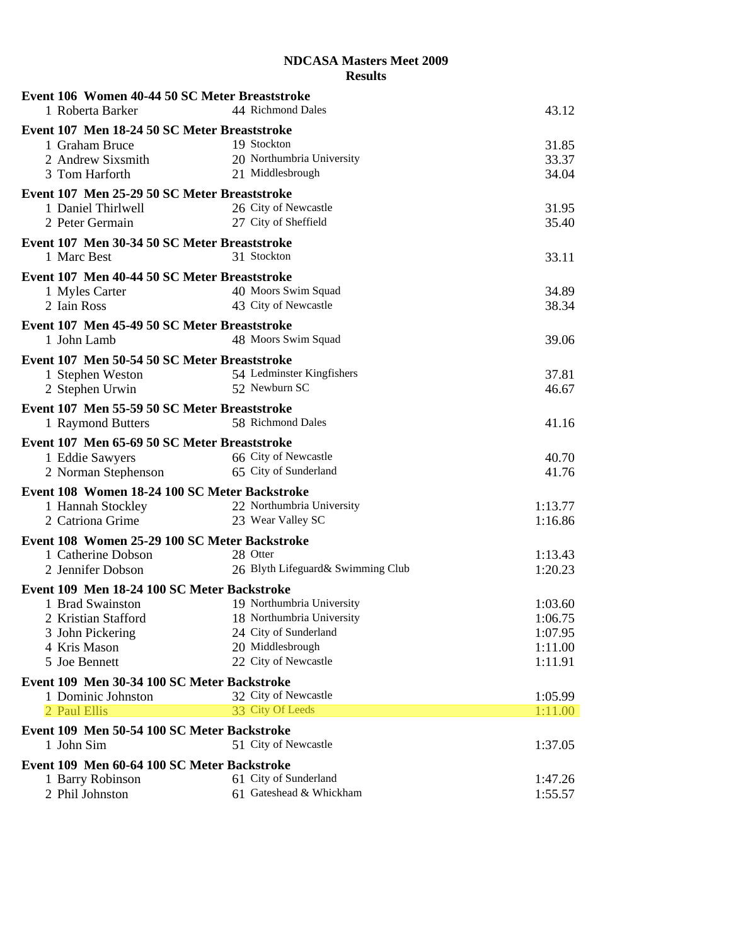| Event 106 Women 40-44 50 SC Meter Breaststroke                      |                                   |                    |
|---------------------------------------------------------------------|-----------------------------------|--------------------|
| 1 Roberta Barker                                                    | 44 Richmond Dales                 | 43.12              |
| Event 107 Men 18-24 50 SC Meter Breaststroke                        |                                   |                    |
| 1 Graham Bruce                                                      | 19 Stockton                       | 31.85              |
| 2 Andrew Sixsmith                                                   | 20 Northumbria University         | 33.37              |
| 3 Tom Harforth                                                      | 21 Middlesbrough                  | 34.04              |
| Event 107 Men 25-29 50 SC Meter Breaststroke                        |                                   |                    |
| 1 Daniel Thirlwell                                                  | 26 City of Newcastle              | 31.95              |
| 2 Peter Germain                                                     | 27 City of Sheffield              | 35.40              |
|                                                                     |                                   |                    |
| Event 107 Men 30-34 50 SC Meter Breaststroke                        |                                   |                    |
| 1 Marc Best                                                         | 31 Stockton                       | 33.11              |
| Event 107 Men 40-44 50 SC Meter Breaststroke                        |                                   |                    |
| 1 Myles Carter                                                      | 40 Moors Swim Squad               | 34.89              |
| 2 Iain Ross                                                         | 43 City of Newcastle              | 38.34              |
| Event 107 Men 45-49 50 SC Meter Breaststroke                        |                                   |                    |
| 1 John Lamb                                                         | 48 Moors Swim Squad               | 39.06              |
|                                                                     |                                   |                    |
| Event 107 Men 50-54 50 SC Meter Breaststroke                        | 54 Ledminster Kingfishers         |                    |
| 1 Stephen Weston                                                    | 52 Newburn SC                     | 37.81              |
| 2 Stephen Urwin                                                     |                                   | 46.67              |
| Event 107 Men 55-59 50 SC Meter Breaststroke                        |                                   |                    |
| 1 Raymond Butters                                                   | 58 Richmond Dales                 | 41.16              |
| Event 107 Men 65-69 50 SC Meter Breaststroke                        |                                   |                    |
| 1 Eddie Sawyers                                                     | 66 City of Newcastle              | 40.70              |
| 2 Norman Stephenson                                                 | 65 City of Sunderland             | 41.76              |
| Event 108 Women 18-24 100 SC Meter Backstroke                       |                                   |                    |
| 1 Hannah Stockley                                                   | 22 Northumbria University         | 1:13.77            |
| 2 Catriona Grime                                                    | 23 Wear Valley SC                 | 1:16.86            |
|                                                                     |                                   |                    |
| Event 108 Women 25-29 100 SC Meter Backstroke<br>1 Catherine Dobson | 28 Otter                          |                    |
| 2 Jennifer Dobson                                                   | 26 Blyth Lifeguard& Swimming Club | 1:13.43<br>1:20.23 |
|                                                                     |                                   |                    |
| Event 109 Men 18-24 100 SC Meter Backstroke                         |                                   |                    |
| 1 Brad Swainston                                                    | 19 Northumbria University         | 1:03.60            |
| 2 Kristian Stafford                                                 | 18 Northumbria University         | 1:06.75            |
| 3 John Pickering                                                    | 24 City of Sunderland             | 1:07.95            |
| 4 Kris Mason                                                        | 20 Middlesbrough                  | 1:11.00            |
| 5 Joe Bennett                                                       | 22 City of Newcastle              | 1:11.91            |
| Event 109 Men 30-34 100 SC Meter Backstroke                         |                                   |                    |
| 1 Dominic Johnston                                                  | 32 City of Newcastle              | 1:05.99            |
| 2 Paul Ellis                                                        | 33 City Of Leeds                  | 1:11.00            |
| Event 109 Men 50-54 100 SC Meter Backstroke                         |                                   |                    |
| 1 John Sim                                                          | 51 City of Newcastle              | 1:37.05            |
|                                                                     |                                   |                    |
| Event 109 Men 60-64 100 SC Meter Backstroke                         | 61 City of Sunderland             | 1:47.26            |
| 1 Barry Robinson<br>2 Phil Johnston                                 | 61 Gateshead & Whickham           | 1:55.57            |
|                                                                     |                                   |                    |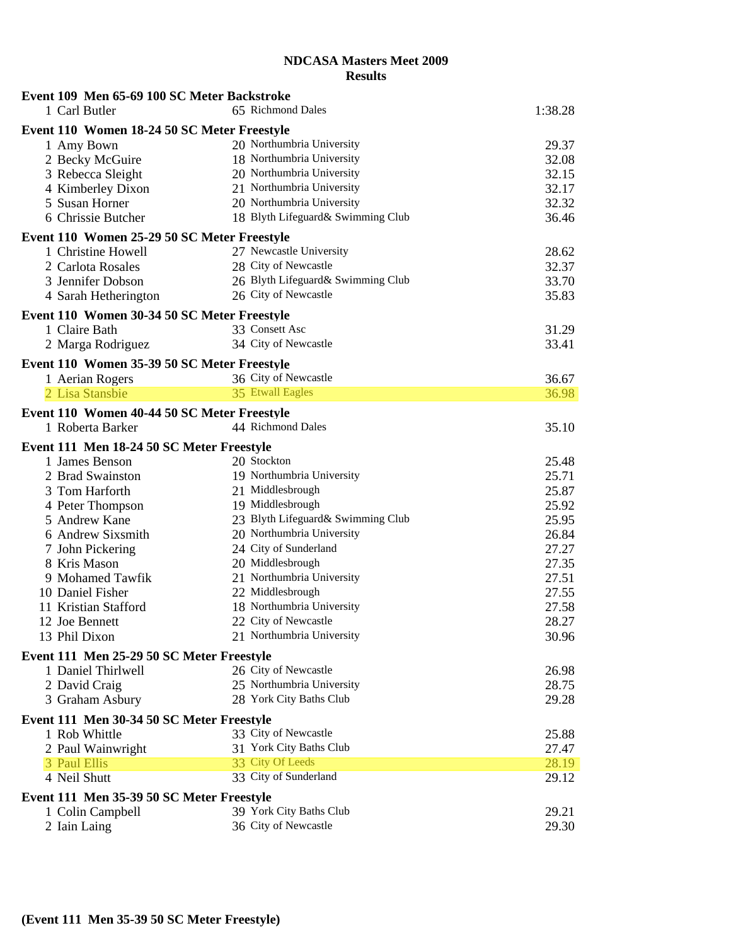| Event 109 Men 65-69 100 SC Meter Backstroke |                                   |         |
|---------------------------------------------|-----------------------------------|---------|
| 1 Carl Butler                               | 65 Richmond Dales                 | 1:38.28 |
| Event 110 Women 18-24 50 SC Meter Freestyle |                                   |         |
| 1 Amy Bown                                  | 20 Northumbria University         | 29.37   |
| 2 Becky McGuire                             | 18 Northumbria University         | 32.08   |
| 3 Rebecca Sleight                           | 20 Northumbria University         | 32.15   |
| 4 Kimberley Dixon                           | 21 Northumbria University         | 32.17   |
| 5 Susan Horner                              | 20 Northumbria University         | 32.32   |
| 6 Chrissie Butcher                          | 18 Blyth Lifeguard& Swimming Club | 36.46   |
| Event 110 Women 25-29 50 SC Meter Freestyle |                                   |         |
| 1 Christine Howell                          | 27 Newcastle University           | 28.62   |
| 2 Carlota Rosales                           | 28 City of Newcastle              | 32.37   |
| 3 Jennifer Dobson                           | 26 Blyth Lifeguard& Swimming Club | 33.70   |
| 4 Sarah Hetherington                        | 26 City of Newcastle              | 35.83   |
| Event 110 Women 30-34 50 SC Meter Freestyle |                                   |         |
| 1 Claire Bath                               | 33 Consett Asc                    | 31.29   |
|                                             | 34 City of Newcastle              | 33.41   |
| 2 Marga Rodriguez                           |                                   |         |
| Event 110 Women 35-39 50 SC Meter Freestyle |                                   |         |
| 1 Aerian Rogers                             | 36 City of Newcastle              | 36.67   |
| 2 Lisa Stansbie                             | 35 Etwall Eagles                  | 36.98   |
| Event 110 Women 40-44 50 SC Meter Freestyle |                                   |         |
| 1 Roberta Barker                            | 44 Richmond Dales                 | 35.10   |
| Event 111 Men 18-24 50 SC Meter Freestyle   |                                   |         |
| 1 James Benson                              | 20 Stockton                       | 25.48   |
| 2 Brad Swainston                            | 19 Northumbria University         | 25.71   |
| 3 Tom Harforth                              | 21 Middlesbrough                  | 25.87   |
| 4 Peter Thompson                            | 19 Middlesbrough                  | 25.92   |
| 5 Andrew Kane                               | 23 Blyth Lifeguard& Swimming Club | 25.95   |
| 6 Andrew Sixsmith                           | 20 Northumbria University         | 26.84   |
| 7 John Pickering                            | 24 City of Sunderland             | 27.27   |
| 8 Kris Mason                                | 20 Middlesbrough                  | 27.35   |
| 9 Mohamed Tawfik                            | 21 Northumbria University         | 27.51   |
| 10 Daniel Fisher                            | 22 Middlesbrough                  | 27.55   |
| 11 Kristian Stafford                        | 18 Northumbria University         | 27.58   |
| 12 Joe Bennett                              | 22 City of Newcastle              | 28.27   |
| 13 Phil Dixon                               | 21 Northumbria University         | 30.96   |
| Event 111 Men 25-29 50 SC Meter Freestyle   |                                   |         |
| 1 Daniel Thirlwell                          | 26 City of Newcastle              | 26.98   |
| 2 David Craig                               | 25 Northumbria University         | 28.75   |
| 3 Graham Asbury                             | 28 York City Baths Club           | 29.28   |
|                                             |                                   |         |
| Event 111 Men 30-34 50 SC Meter Freestyle   |                                   |         |
| 1 Rob Whittle                               | 33 City of Newcastle              | 25.88   |
| 2 Paul Wainwright                           | 31 York City Baths Club           | 27.47   |
| 3 Paul Ellis                                | 33 City Of Leeds                  | 28.19   |
| 4 Neil Shutt                                | 33 City of Sunderland             | 29.12   |
| Event 111 Men 35-39 50 SC Meter Freestyle   |                                   |         |
| 1 Colin Campbell                            | 39 York City Baths Club           | 29.21   |
| 2 Iain Laing                                | 36 City of Newcastle              | 29.30   |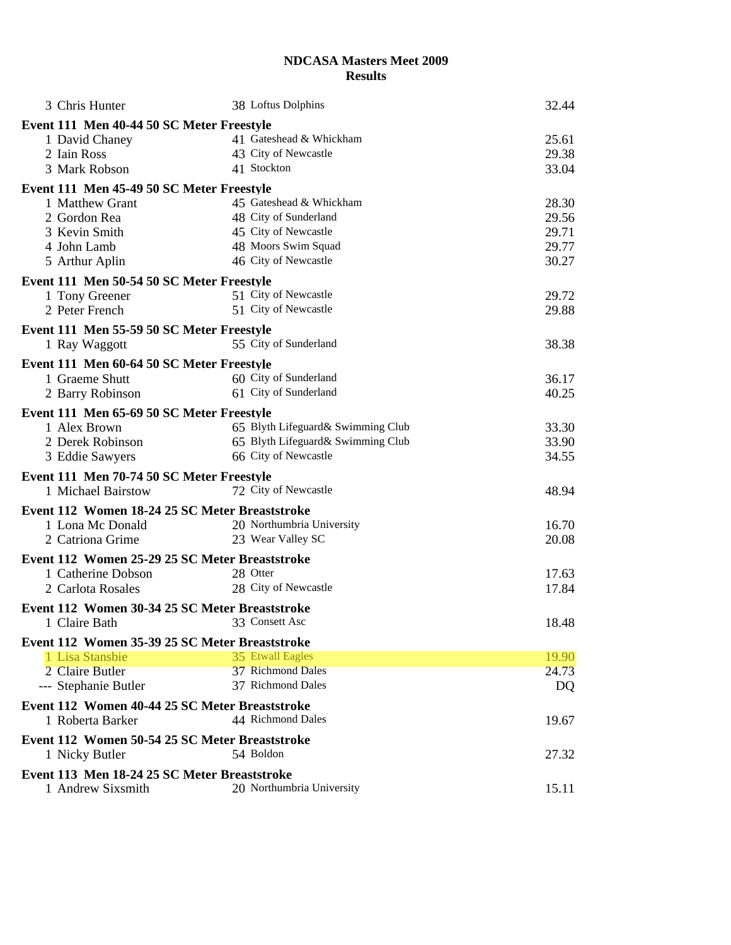| 3 Chris Hunter                                 | 38 Loftus Dolphins                | 32.44 |
|------------------------------------------------|-----------------------------------|-------|
| Event 111 Men 40-44 50 SC Meter Freestyle      |                                   |       |
| 1 David Chaney                                 | 41 Gateshead & Whickham           | 25.61 |
| 2 Iain Ross                                    | 43 City of Newcastle              | 29.38 |
| 3 Mark Robson                                  | 41 Stockton                       | 33.04 |
| Event 111 Men 45-49 50 SC Meter Freestyle      |                                   |       |
| 1 Matthew Grant                                | 45 Gateshead & Whickham           | 28.30 |
| 2 Gordon Rea                                   | 48 City of Sunderland             | 29.56 |
| 3 Kevin Smith                                  | 45 City of Newcastle              | 29.71 |
| 4 John Lamb                                    | 48 Moors Swim Squad               | 29.77 |
| 5 Arthur Aplin                                 | 46 City of Newcastle              | 30.27 |
| Event 111 Men 50-54 50 SC Meter Freestyle      |                                   |       |
| 1 Tony Greener                                 | 51 City of Newcastle              | 29.72 |
| 2 Peter French                                 | 51 City of Newcastle              | 29.88 |
| Event 111 Men 55-59 50 SC Meter Freestyle      |                                   |       |
| 1 Ray Waggott                                  | 55 City of Sunderland             | 38.38 |
| Event 111 Men 60-64 50 SC Meter Freestyle      |                                   |       |
| 1 Graeme Shutt                                 | 60 City of Sunderland             | 36.17 |
| 2 Barry Robinson                               | 61 City of Sunderland             | 40.25 |
| Event 111 Men 65-69 50 SC Meter Freestyle      |                                   |       |
| 1 Alex Brown                                   | 65 Blyth Lifeguard& Swimming Club | 33.30 |
| 2 Derek Robinson                               | 65 Blyth Lifeguard& Swimming Club | 33.90 |
| 3 Eddie Sawyers                                | 66 City of Newcastle              | 34.55 |
| Event 111 Men 70-74 50 SC Meter Freestyle      |                                   |       |
| 1 Michael Bairstow                             | 72 City of Newcastle              | 48.94 |
| Event 112 Women 18-24 25 SC Meter Breaststroke |                                   |       |
| 1 Lona Mc Donald                               | 20 Northumbria University         | 16.70 |
| 2 Catriona Grime                               | 23 Wear Valley SC                 | 20.08 |
| Event 112 Women 25-29 25 SC Meter Breaststroke |                                   |       |
| 1 Catherine Dobson                             | 28 Otter                          | 17.63 |
| 2 Carlota Rosales                              | 28 City of Newcastle              | 17.84 |
| Event 112 Women 30-34 25 SC Meter Breaststroke |                                   |       |
| 1 Claire Bath                                  | 33 Consett Asc                    | 18.48 |
| Event 112 Women 35-39 25 SC Meter Breaststroke |                                   |       |
| 1 Lisa Stansbie                                | 35 Etwall Eagles                  | 19.90 |
| 2 Claire Butler                                | 37 Richmond Dales                 | 24.73 |
| --- Stephanie Butler                           | 37 Richmond Dales                 | DQ    |
| Event 112 Women 40-44 25 SC Meter Breaststroke |                                   |       |
| 1 Roberta Barker                               | 44 Richmond Dales                 | 19.67 |
| Event 112 Women 50-54 25 SC Meter Breaststroke |                                   |       |
| 1 Nicky Butler                                 | 54 Boldon                         | 27.32 |
| Event 113 Men 18-24 25 SC Meter Breaststroke   |                                   |       |
| 1 Andrew Sixsmith                              | 20 Northumbria University         | 15.11 |
|                                                |                                   |       |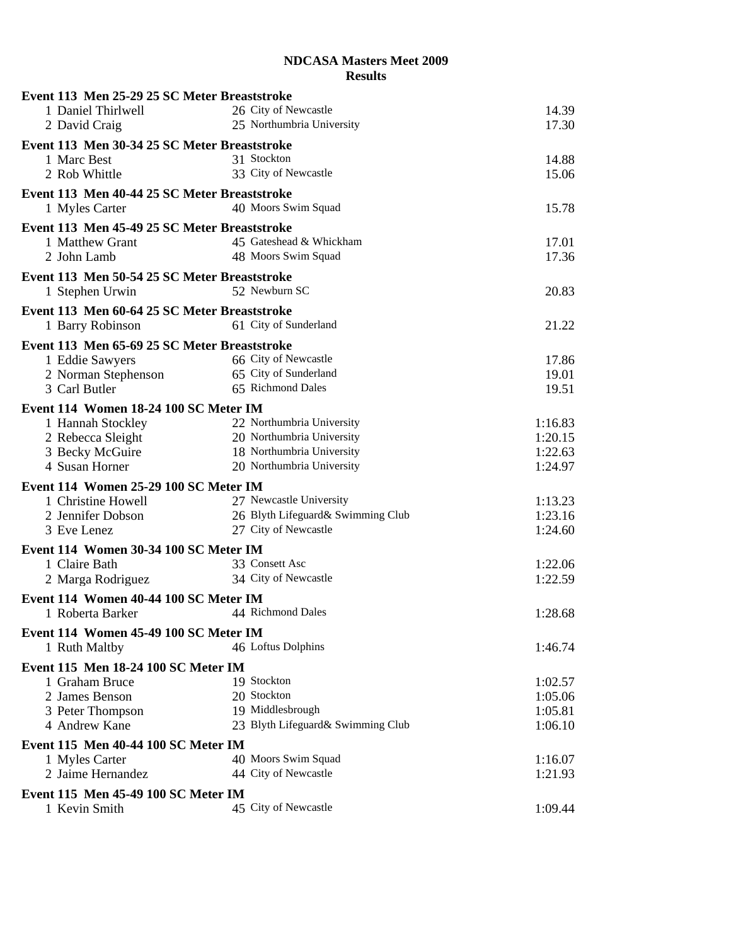| Event 113 Men 25-29 25 SC Meter Breaststroke |                                   |         |
|----------------------------------------------|-----------------------------------|---------|
| 1 Daniel Thirlwell                           | 26 City of Newcastle              | 14.39   |
| 2 David Craig                                | 25 Northumbria University         | 17.30   |
| Event 113 Men 30-34 25 SC Meter Breaststroke |                                   |         |
| 1 Marc Best                                  | 31 Stockton                       | 14.88   |
| 2 Rob Whittle                                | 33 City of Newcastle              | 15.06   |
| Event 113 Men 40-44 25 SC Meter Breaststroke |                                   |         |
| 1 Myles Carter                               | 40 Moors Swim Squad               | 15.78   |
| Event 113 Men 45-49 25 SC Meter Breaststroke |                                   |         |
| 1 Matthew Grant                              | 45 Gateshead & Whickham           | 17.01   |
| 2 John Lamb                                  | 48 Moors Swim Squad               | 17.36   |
|                                              |                                   |         |
| Event 113 Men 50-54 25 SC Meter Breaststroke |                                   |         |
| 1 Stephen Urwin                              | 52 Newburn SC                     | 20.83   |
| Event 113 Men 60-64 25 SC Meter Breaststroke |                                   |         |
| 1 Barry Robinson                             | 61 City of Sunderland             | 21.22   |
| Event 113 Men 65-69 25 SC Meter Breaststroke |                                   |         |
| 1 Eddie Sawyers                              | 66 City of Newcastle              | 17.86   |
| 2 Norman Stephenson                          | 65 City of Sunderland             | 19.01   |
| 3 Carl Butler                                | 65 Richmond Dales                 | 19.51   |
| Event 114 Women 18-24 100 SC Meter IM        |                                   |         |
| 1 Hannah Stockley                            | 22 Northumbria University         | 1:16.83 |
| 2 Rebecca Sleight                            | 20 Northumbria University         | 1:20.15 |
| 3 Becky McGuire                              | 18 Northumbria University         | 1:22.63 |
| 4 Susan Horner                               | 20 Northumbria University         | 1:24.97 |
| Event 114 Women 25-29 100 SC Meter IM        |                                   |         |
| 1 Christine Howell                           | 27 Newcastle University           | 1:13.23 |
| 2 Jennifer Dobson                            | 26 Blyth Lifeguard& Swimming Club | 1:23.16 |
| 3 Eve Lenez                                  | 27 City of Newcastle              | 1:24.60 |
| Event 114 Women 30-34 100 SC Meter IM        |                                   |         |
| 1 Claire Bath                                | 33 Consett Asc                    | 1:22.06 |
| 2 Marga Rodriguez                            | 34 City of Newcastle              | 1:22.59 |
| Event 114 Women 40-44 100 SC Meter IM        |                                   |         |
| 1 Roberta Barker                             | 44 Richmond Dales                 | 1:28.68 |
|                                              |                                   |         |
| Event 114 Women 45-49 100 SC Meter IM        |                                   |         |
| 1 Ruth Maltby                                | 46 Loftus Dolphins                | 1:46.74 |
| Event 115 Men 18-24 100 SC Meter IM          |                                   |         |
| 1 Graham Bruce                               | 19 Stockton                       | 1:02.57 |
| 2 James Benson                               | 20 Stockton                       | 1:05.06 |
| 3 Peter Thompson                             | 19 Middlesbrough                  | 1:05.81 |
| 4 Andrew Kane                                | 23 Blyth Lifeguard& Swimming Club | 1:06.10 |
| Event 115 Men 40-44 100 SC Meter IM          |                                   |         |
| 1 Myles Carter                               | 40 Moors Swim Squad               | 1:16.07 |
| 2 Jaime Hernandez                            | 44 City of Newcastle              | 1:21.93 |
| Event 115 Men 45-49 100 SC Meter IM          |                                   |         |
| 1 Kevin Smith                                | 45 City of Newcastle              | 1:09.44 |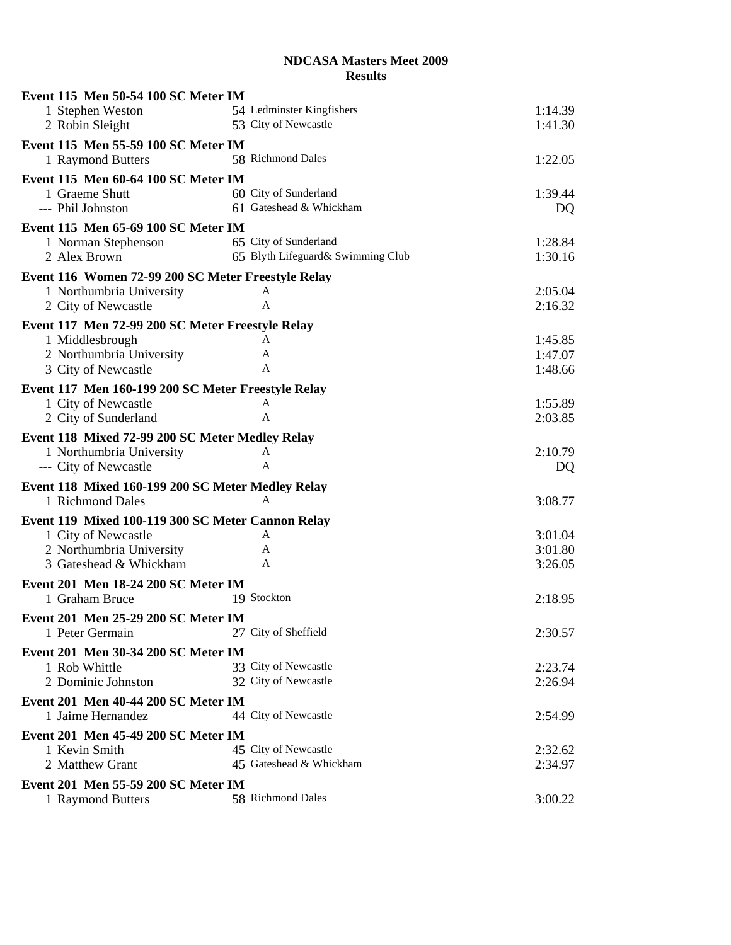| Event 115 Men 50-54 100 SC Meter IM                |                                   |                    |
|----------------------------------------------------|-----------------------------------|--------------------|
| 1 Stephen Weston                                   | 54 Ledminster Kingfishers         | 1:14.39            |
| 2 Robin Sleight                                    | 53 City of Newcastle              | 1:41.30            |
| Event 115 Men 55-59 100 SC Meter IM                |                                   |                    |
| 1 Raymond Butters                                  | 58 Richmond Dales                 | 1:22.05            |
| Event 115 Men 60-64 100 SC Meter IM                |                                   |                    |
| 1 Graeme Shutt                                     | 60 City of Sunderland             | 1:39.44            |
| --- Phil Johnston                                  | 61 Gateshead & Whickham           | DQ                 |
|                                                    |                                   |                    |
| Event 115 Men 65-69 100 SC Meter IM                | 65 City of Sunderland             | 1:28.84            |
| 1 Norman Stephenson<br>2 Alex Brown                | 65 Blyth Lifeguard& Swimming Club | 1:30.16            |
|                                                    |                                   |                    |
| Event 116 Women 72-99 200 SC Meter Freestyle Relay |                                   |                    |
| 1 Northumbria University                           | A                                 | 2:05.04            |
| 2 City of Newcastle                                | A                                 | 2:16.32            |
| Event 117 Men 72-99 200 SC Meter Freestyle Relay   |                                   |                    |
| 1 Middlesbrough                                    | A                                 | 1:45.85            |
| 2 Northumbria University                           | A                                 | 1:47.07            |
| 3 City of Newcastle                                | A                                 | 1:48.66            |
| Event 117 Men 160-199 200 SC Meter Freestyle Relay |                                   |                    |
| 1 City of Newcastle                                | A                                 | 1:55.89            |
| 2 City of Sunderland                               | $\mathbf{A}$                      | 2:03.85            |
| Event 118 Mixed 72-99 200 SC Meter Medley Relay    |                                   |                    |
| 1 Northumbria University                           | A                                 | 2:10.79            |
| --- City of Newcastle                              | A                                 | DQ                 |
| Event 118 Mixed 160-199 200 SC Meter Medley Relay  |                                   |                    |
| 1 Richmond Dales                                   | A                                 | 3:08.77            |
|                                                    |                                   |                    |
| Event 119 Mixed 100-119 300 SC Meter Cannon Relay  | A                                 |                    |
| 1 City of Newcastle<br>2 Northumbria University    | A                                 | 3:01.04<br>3:01.80 |
| 3 Gateshead & Whickham                             | A                                 | 3:26.05            |
|                                                    |                                   |                    |
| Event 201 Men 18-24 200 SC Meter IM                |                                   |                    |
| 1 Graham Bruce                                     | 19 Stockton                       | 2:18.95            |
| Event 201 Men 25-29 200 SC Meter IM                |                                   |                    |
| 1 Peter Germain                                    | 27 City of Sheffield              | 2:30.57            |
| Event 201 Men 30-34 200 SC Meter IM                |                                   |                    |
| 1 Rob Whittle                                      | 33 City of Newcastle              | 2:23.74            |
| 2 Dominic Johnston                                 | 32 City of Newcastle              | 2:26.94            |
| Event 201 Men 40-44 200 SC Meter IM                |                                   |                    |
| 1 Jaime Hernandez                                  | 44 City of Newcastle              | 2:54.99            |
| Event 201 Men 45-49 200 SC Meter IM                |                                   |                    |
| 1 Kevin Smith                                      | 45 City of Newcastle              | 2:32.62            |
| 2 Matthew Grant                                    | 45 Gateshead & Whickham           | 2:34.97            |
|                                                    |                                   |                    |
| Event 201 Men 55-59 200 SC Meter IM                |                                   |                    |
| 1 Raymond Butters                                  | 58 Richmond Dales                 | 3:00.22            |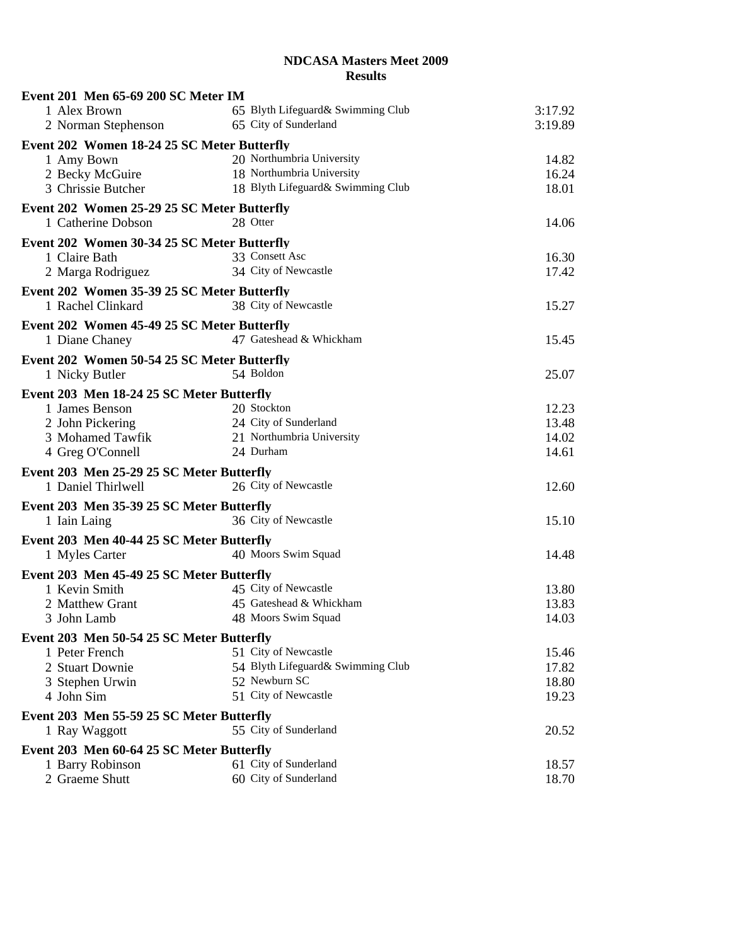| Event 201 Men 65-69 200 SC Meter IM                           |                                                |         |
|---------------------------------------------------------------|------------------------------------------------|---------|
| 1 Alex Brown                                                  | 65 Blyth Lifeguard& Swimming Club              | 3:17.92 |
| 2 Norman Stephenson                                           | 65 City of Sunderland                          | 3:19.89 |
| Event 202 Women 18-24 25 SC Meter Butterfly                   |                                                |         |
| 1 Amy Bown                                                    | 20 Northumbria University                      | 14.82   |
| 2 Becky McGuire                                               | 18 Northumbria University                      | 16.24   |
| 3 Chrissie Butcher                                            | 18 Blyth Lifeguard& Swimming Club              | 18.01   |
| Event 202 Women 25-29 25 SC Meter Butterfly                   |                                                |         |
| 1 Catherine Dobson                                            | 28 Otter                                       | 14.06   |
| Event 202 Women 30-34 25 SC Meter Butterfly                   |                                                |         |
| 1 Claire Bath                                                 | 33 Consett Asc                                 | 16.30   |
| 2 Marga Rodriguez                                             | 34 City of Newcastle                           | 17.42   |
| Event 202 Women 35-39 25 SC Meter Butterfly                   |                                                |         |
| 1 Rachel Clinkard                                             | 38 City of Newcastle                           | 15.27   |
|                                                               |                                                |         |
| Event 202 Women 45-49 25 SC Meter Butterfly<br>1 Diane Chaney | 47 Gateshead & Whickham                        | 15.45   |
|                                                               |                                                |         |
| Event 202 Women 50-54 25 SC Meter Butterfly                   |                                                |         |
| 1 Nicky Butler                                                | 54 Boldon                                      | 25.07   |
| Event 203 Men 18-24 25 SC Meter Butterfly                     |                                                |         |
| 1 James Benson                                                | 20 Stockton                                    | 12.23   |
| 2 John Pickering                                              | 24 City of Sunderland                          | 13.48   |
| 3 Mohamed Tawfik                                              | 21 Northumbria University                      | 14.02   |
| 4 Greg O'Connell                                              | 24 Durham                                      | 14.61   |
| Event 203 Men 25-29 25 SC Meter Butterfly                     |                                                |         |
| 1 Daniel Thirlwell                                            | 26 City of Newcastle                           | 12.60   |
| Event 203 Men 35-39 25 SC Meter Butterfly                     |                                                |         |
| 1 Iain Laing                                                  | 36 City of Newcastle                           | 15.10   |
| Event 203 Men 40-44 25 SC Meter Butterfly                     |                                                |         |
| 1 Myles Carter                                                | 40 Moors Swim Squad                            | 14.48   |
|                                                               |                                                |         |
| Event 203 Men 45-49 25 SC Meter Butterfly                     |                                                |         |
| 1 Kevin Smith                                                 | 45 City of Newcastle                           | 13.80   |
| 2 Matthew Grant                                               | 45 Gateshead & Whickham<br>48 Moors Swim Squad | 13.83   |
| 3 John Lamb                                                   |                                                | 14.03   |
| Event 203 Men 50-54 25 SC Meter Butterfly                     |                                                |         |
| 1 Peter French                                                | 51 City of Newcastle                           | 15.46   |
| 2 Stuart Downie                                               | 54 Blyth Lifeguard& Swimming Club              | 17.82   |
| 3 Stephen Urwin                                               | 52 Newburn SC                                  | 18.80   |
| 4 John Sim                                                    | 51 City of Newcastle                           | 19.23   |
| Event 203 Men 55-59 25 SC Meter Butterfly                     |                                                |         |
| 1 Ray Waggott                                                 | 55 City of Sunderland                          | 20.52   |
| Event 203 Men 60-64 25 SC Meter Butterfly                     |                                                |         |
| 1 Barry Robinson                                              | 61 City of Sunderland                          | 18.57   |
| 2 Graeme Shutt                                                | 60 City of Sunderland                          | 18.70   |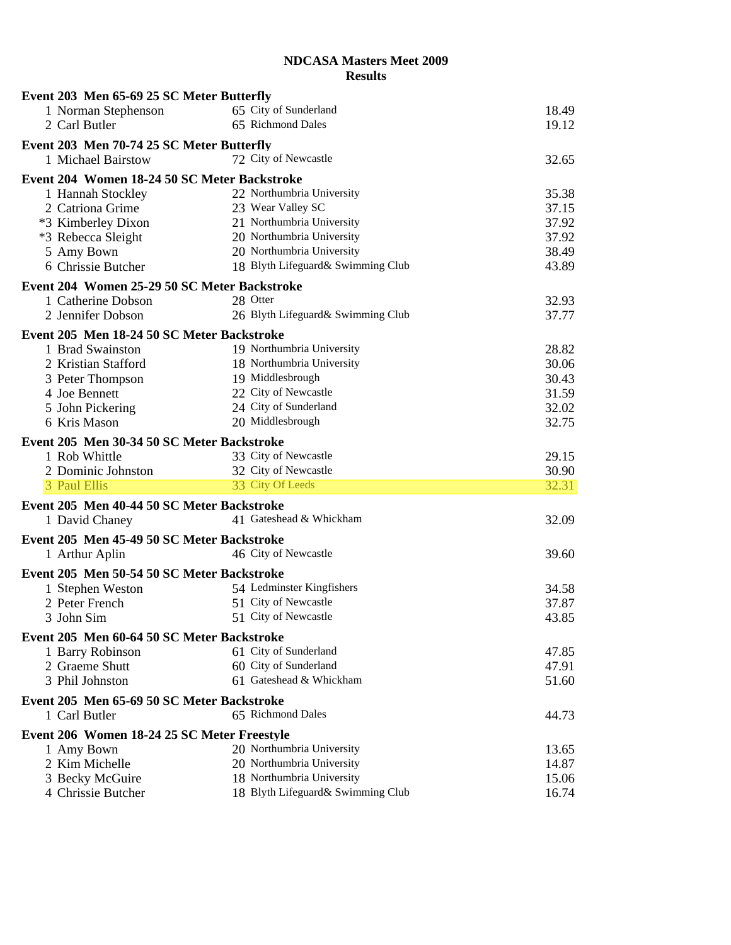| Event 203 Men 65-69 25 SC Meter Butterfly    |                                   |       |
|----------------------------------------------|-----------------------------------|-------|
| 1 Norman Stephenson                          | 65 City of Sunderland             | 18.49 |
| 2 Carl Butler                                | 65 Richmond Dales                 | 19.12 |
| Event 203 Men 70-74 25 SC Meter Butterfly    |                                   |       |
| 1 Michael Bairstow                           | 72 City of Newcastle              | 32.65 |
| Event 204 Women 18-24 50 SC Meter Backstroke |                                   |       |
| 1 Hannah Stockley                            | 22 Northumbria University         | 35.38 |
| 2 Catriona Grime                             | 23 Wear Valley SC                 | 37.15 |
| *3 Kimberley Dixon                           | 21 Northumbria University         | 37.92 |
| *3 Rebecca Sleight                           | 20 Northumbria University         | 37.92 |
| 5 Amy Bown                                   | 20 Northumbria University         | 38.49 |
| 6 Chrissie Butcher                           | 18 Blyth Lifeguard& Swimming Club | 43.89 |
| Event 204 Women 25-29 50 SC Meter Backstroke |                                   |       |
| 1 Catherine Dobson                           | 28 Otter                          | 32.93 |
| 2 Jennifer Dobson                            | 26 Blyth Lifeguard& Swimming Club | 37.77 |
|                                              |                                   |       |
| Event 205 Men 18-24 50 SC Meter Backstroke   |                                   |       |
| 1 Brad Swainston                             | 19 Northumbria University         | 28.82 |
| 2 Kristian Stafford                          | 18 Northumbria University         | 30.06 |
| 3 Peter Thompson                             | 19 Middlesbrough                  | 30.43 |
| 4 Joe Bennett                                | 22 City of Newcastle              | 31.59 |
| 5 John Pickering                             | 24 City of Sunderland             | 32.02 |
| 6 Kris Mason                                 | 20 Middlesbrough                  | 32.75 |
| Event 205 Men 30-34 50 SC Meter Backstroke   |                                   |       |
| 1 Rob Whittle                                | 33 City of Newcastle              | 29.15 |
| 2 Dominic Johnston                           | 32 City of Newcastle              | 30.90 |
| 3 Paul Ellis                                 | 33 City Of Leeds                  | 32.31 |
| Event 205 Men 40-44 50 SC Meter Backstroke   |                                   |       |
| 1 David Chaney                               | 41 Gateshead & Whickham           | 32.09 |
| Event 205 Men 45-49 50 SC Meter Backstroke   |                                   |       |
| 1 Arthur Aplin                               | 46 City of Newcastle              | 39.60 |
| Event 205 Men 50-54 50 SC Meter Backstroke   |                                   |       |
| 1 Stephen Weston                             | 54 Ledminster Kingfishers         | 34.58 |
| 2 Peter French                               | 51 City of Newcastle              | 37.87 |
| 3 John Sim                                   | 51 City of Newcastle              | 43.85 |
|                                              |                                   |       |
| Event 205 Men 60-64 50 SC Meter Backstroke   |                                   |       |
| 1 Barry Robinson                             | 61 City of Sunderland             | 47.85 |
| 2 Graeme Shutt                               | 60 City of Sunderland             | 47.91 |
| 3 Phil Johnston                              | 61 Gateshead & Whickham           | 51.60 |
| Event 205 Men 65-69 50 SC Meter Backstroke   |                                   |       |
| 1 Carl Butler                                | 65 Richmond Dales                 | 44.73 |
| Event 206 Women 18-24 25 SC Meter Freestyle  |                                   |       |
| 1 Amy Bown                                   | 20 Northumbria University         | 13.65 |
| 2 Kim Michelle                               | 20 Northumbria University         | 14.87 |
| 3 Becky McGuire                              | 18 Northumbria University         | 15.06 |
| 4 Chrissie Butcher                           | 18 Blyth Lifeguard& Swimming Club | 16.74 |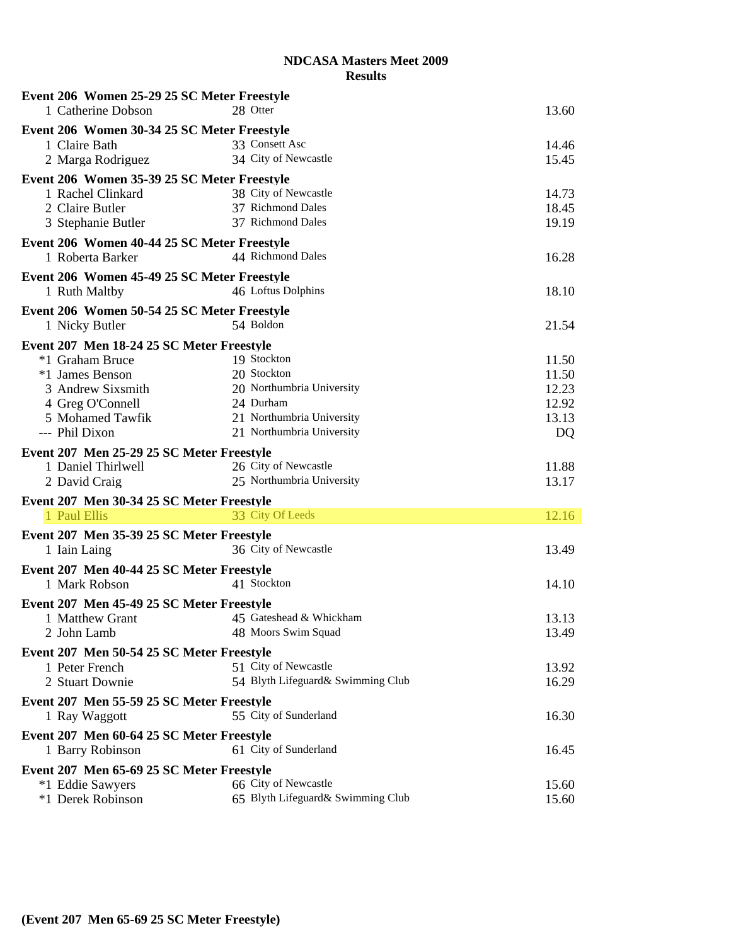| Event 206 Women 25-29 25 SC Meter Freestyle |                                   |       |
|---------------------------------------------|-----------------------------------|-------|
| 1 Catherine Dobson                          | 28 Otter                          | 13.60 |
| Event 206 Women 30-34 25 SC Meter Freestyle |                                   |       |
| 1 Claire Bath                               | 33 Consett Asc                    | 14.46 |
| 2 Marga Rodriguez                           | 34 City of Newcastle              | 15.45 |
| Event 206 Women 35-39 25 SC Meter Freestyle |                                   |       |
| 1 Rachel Clinkard                           | 38 City of Newcastle              | 14.73 |
| 2 Claire Butler                             | 37 Richmond Dales                 | 18.45 |
| 3 Stephanie Butler                          | 37 Richmond Dales                 | 19.19 |
| Event 206 Women 40-44 25 SC Meter Freestyle |                                   |       |
| 1 Roberta Barker                            | 44 Richmond Dales                 | 16.28 |
|                                             |                                   |       |
| Event 206 Women 45-49 25 SC Meter Freestyle | 46 Loftus Dolphins                |       |
| 1 Ruth Maltby                               |                                   | 18.10 |
| Event 206 Women 50-54 25 SC Meter Freestyle |                                   |       |
| 1 Nicky Butler                              | 54 Boldon                         | 21.54 |
| Event 207 Men 18-24 25 SC Meter Freestyle   |                                   |       |
| *1 Graham Bruce                             | 19 Stockton                       | 11.50 |
| *1 James Benson                             | 20 Stockton                       | 11.50 |
| 3 Andrew Sixsmith                           | 20 Northumbria University         | 12.23 |
| 4 Greg O'Connell                            | 24 Durham                         | 12.92 |
| 5 Mohamed Tawfik                            | 21 Northumbria University         | 13.13 |
| --- Phil Dixon                              | 21 Northumbria University         | DQ    |
| Event 207 Men 25-29 25 SC Meter Freestyle   |                                   |       |
| 1 Daniel Thirlwell                          | 26 City of Newcastle              | 11.88 |
| 2 David Craig                               | 25 Northumbria University         | 13.17 |
| Event 207 Men 30-34 25 SC Meter Freestyle   |                                   |       |
| 1 Paul Ellis                                | 33 City Of Leeds                  | 12.16 |
|                                             |                                   |       |
| Event 207 Men 35-39 25 SC Meter Freestyle   | 36 City of Newcastle              |       |
| 1 Iain Laing                                |                                   | 13.49 |
| Event 207 Men 40-44 25 SC Meter Freestyle   |                                   |       |
| 1 Mark Robson                               | 41 Stockton                       | 14.10 |
| Event 207 Men 45-49 25 SC Meter Freestyle   |                                   |       |
| 1 Matthew Grant                             | 45 Gateshead & Whickham           | 13.13 |
| 2 John Lamb                                 | 48 Moors Swim Squad               | 13.49 |
| Event 207 Men 50-54 25 SC Meter Freestyle   |                                   |       |
| 1 Peter French                              | 51 City of Newcastle              | 13.92 |
| 2 Stuart Downie                             | 54 Blyth Lifeguard& Swimming Club | 16.29 |
| Event 207 Men 55-59 25 SC Meter Freestyle   |                                   |       |
| 1 Ray Waggott                               | 55 City of Sunderland             | 16.30 |
|                                             |                                   |       |
| Event 207 Men 60-64 25 SC Meter Freestyle   |                                   |       |
| 1 Barry Robinson                            | 61 City of Sunderland             | 16.45 |
| Event 207 Men 65-69 25 SC Meter Freestyle   |                                   |       |
| *1 Eddie Sawyers                            | 66 City of Newcastle              | 15.60 |
| *1 Derek Robinson                           | 65 Blyth Lifeguard& Swimming Club | 15.60 |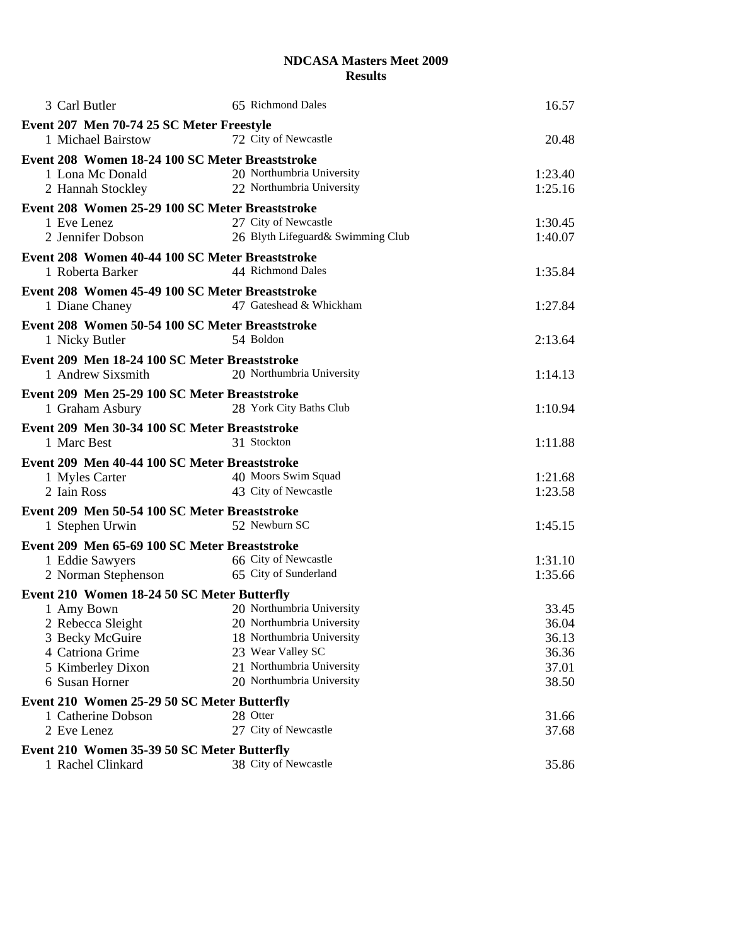| 3 Carl Butler                                                    | 65 Richmond Dales                                      | 16.57          |
|------------------------------------------------------------------|--------------------------------------------------------|----------------|
| Event 207 Men 70-74 25 SC Meter Freestyle                        |                                                        |                |
| 1 Michael Bairstow                                               | 72 City of Newcastle                                   | 20.48          |
| Event 208 Women 18-24 100 SC Meter Breaststroke                  |                                                        |                |
| 1 Lona Mc Donald                                                 | 20 Northumbria University                              | 1:23.40        |
| 2 Hannah Stockley                                                | 22 Northumbria University                              | 1:25.16        |
| Event 208 Women 25-29 100 SC Meter Breaststroke                  |                                                        |                |
| 1 Eve Lenez                                                      | 27 City of Newcastle                                   | 1:30.45        |
| 2 Jennifer Dobson                                                | 26 Blyth Lifeguard& Swimming Club                      | 1:40.07        |
| Event 208 Women 40-44 100 SC Meter Breaststroke                  |                                                        |                |
| 1 Roberta Barker                                                 | 44 Richmond Dales                                      | 1:35.84        |
|                                                                  |                                                        |                |
| Event 208 Women 45-49 100 SC Meter Breaststroke                  | 47 Gateshead & Whickham                                | 1:27.84        |
| 1 Diane Chaney                                                   |                                                        |                |
| Event 208 Women 50-54 100 SC Meter Breaststroke                  |                                                        |                |
| 1 Nicky Butler                                                   | 54 Boldon                                              | 2:13.64        |
| Event 209 Men 18-24 100 SC Meter Breaststroke                    |                                                        |                |
| 1 Andrew Sixsmith                                                | 20 Northumbria University                              | 1:14.13        |
| Event 209 Men 25-29 100 SC Meter Breaststroke                    |                                                        |                |
| 1 Graham Asbury                                                  | 28 York City Baths Club                                | 1:10.94        |
| Event 209 Men 30-34 100 SC Meter Breaststroke                    |                                                        |                |
| 1 Marc Best                                                      | 31 Stockton                                            | 1:11.88        |
| Event 209 Men 40-44 100 SC Meter Breaststroke                    |                                                        |                |
| 1 Myles Carter                                                   | 40 Moors Swim Squad                                    | 1:21.68        |
| 2 Iain Ross                                                      | 43 City of Newcastle                                   | 1:23.58        |
| Event 209 Men 50-54 100 SC Meter Breaststroke                    |                                                        |                |
| 1 Stephen Urwin                                                  | 52 Newburn SC                                          | 1:45.15        |
|                                                                  |                                                        |                |
| Event 209 Men 65-69 100 SC Meter Breaststroke<br>1 Eddie Sawyers | 66 City of Newcastle                                   | 1:31.10        |
| 2 Norman Stephenson                                              | 65 City of Sunderland                                  | 1:35.66        |
|                                                                  |                                                        |                |
| Event 210 Women 18-24 50 SC Meter Butterfly                      |                                                        |                |
| 1 Amy Bown                                                       | 20 Northumbria University<br>20 Northumbria University | 33.45<br>36.04 |
| 2 Rebecca Sleight<br>3 Becky McGuire                             | 18 Northumbria University                              | 36.13          |
| 4 Catriona Grime                                                 | 23 Wear Valley SC                                      | 36.36          |
| 5 Kimberley Dixon                                                | 21 Northumbria University                              | 37.01          |
| 6 Susan Horner                                                   | 20 Northumbria University                              | 38.50          |
| Event 210 Women 25-29 50 SC Meter Butterfly                      |                                                        |                |
| 1 Catherine Dobson                                               | 28 Otter                                               | 31.66          |
| 2 Eve Lenez                                                      | 27 City of Newcastle                                   | 37.68          |
| Event 210 Women 35-39 50 SC Meter Butterfly                      |                                                        |                |
| 1 Rachel Clinkard                                                | 38 City of Newcastle                                   | 35.86          |
|                                                                  |                                                        |                |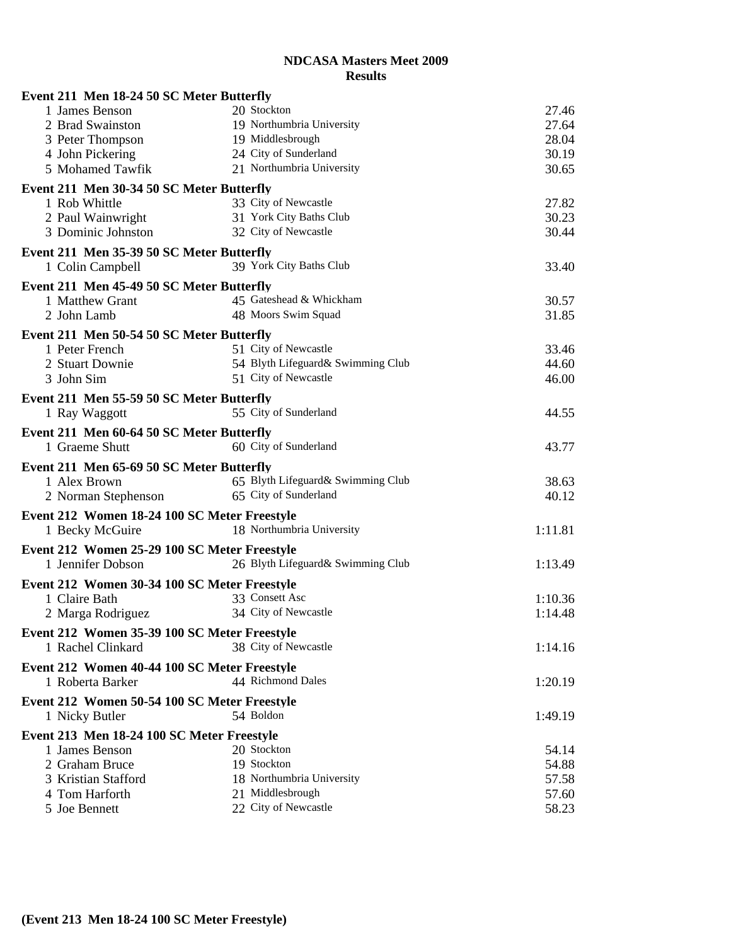| Event 211 Men 18-24 50 SC Meter Butterfly                     |                                          |                |
|---------------------------------------------------------------|------------------------------------------|----------------|
| 1 James Benson                                                | 20 Stockton                              | 27.46          |
| 2 Brad Swainston                                              | 19 Northumbria University                | 27.64          |
| 3 Peter Thompson                                              | 19 Middlesbrough                         | 28.04          |
| 4 John Pickering                                              | 24 City of Sunderland                    | 30.19          |
| 5 Mohamed Tawfik                                              | 21 Northumbria University                | 30.65          |
| Event 211 Men 30-34 50 SC Meter Butterfly                     |                                          |                |
| 1 Rob Whittle                                                 | 33 City of Newcastle                     | 27.82          |
| 2 Paul Wainwright                                             | 31 York City Baths Club                  | 30.23          |
| 3 Dominic Johnston                                            | 32 City of Newcastle                     | 30.44          |
| Event 211 Men 35-39 50 SC Meter Butterfly                     |                                          |                |
| 1 Colin Campbell                                              | 39 York City Baths Club                  | 33.40          |
| Event 211 Men 45-49 50 SC Meter Butterfly                     |                                          |                |
| 1 Matthew Grant                                               | 45 Gateshead & Whickham                  | 30.57          |
| 2 John Lamb                                                   | 48 Moors Swim Squad                      | 31.85          |
| Event 211 Men 50-54 50 SC Meter Butterfly                     |                                          |                |
| 1 Peter French                                                | 51 City of Newcastle                     | 33.46          |
| 2 Stuart Downie                                               | 54 Blyth Lifeguard& Swimming Club        | 44.60          |
| 3 John Sim                                                    | 51 City of Newcastle                     | 46.00          |
| Event 211 Men 55-59 50 SC Meter Butterfly                     |                                          |                |
| 1 Ray Waggott                                                 | 55 City of Sunderland                    | 44.55          |
|                                                               |                                          |                |
| Event 211 Men 60-64 50 SC Meter Butterfly<br>1 Graeme Shutt   | 60 City of Sunderland                    |                |
|                                                               |                                          | 43.77          |
| Event 211 Men 65-69 50 SC Meter Butterfly                     |                                          |                |
| 1 Alex Brown                                                  | 65 Blyth Lifeguard& Swimming Club        | 38.63          |
| 2 Norman Stephenson                                           | 65 City of Sunderland                    | 40.12          |
|                                                               |                                          |                |
| Event 212 Women 18-24 100 SC Meter Freestyle                  |                                          |                |
| 1 Becky McGuire                                               | 18 Northumbria University                | 1:11.81        |
| Event 212 Women 25-29 100 SC Meter Freestyle                  |                                          |                |
| 1 Jennifer Dobson                                             | 26 Blyth Lifeguard& Swimming Club        | 1:13.49        |
|                                                               |                                          |                |
| Event 212 Women 30-34 100 SC Meter Freestyle<br>1 Claire Bath | 33 Consett Asc                           | 1:10.36        |
| 2 Marga Rodriguez                                             | 34 City of Newcastle                     | 1:14.48        |
|                                                               |                                          |                |
| Event 212 Women 35-39 100 SC Meter Freestyle                  |                                          |                |
| 1 Rachel Clinkard                                             | 38 City of Newcastle                     | 1:14.16        |
| Event 212 Women 40-44 100 SC Meter Freestyle                  |                                          |                |
| 1 Roberta Barker                                              | 44 Richmond Dales                        | 1:20.19        |
| Event 212 Women 50-54 100 SC Meter Freestyle                  |                                          |                |
| 1 Nicky Butler                                                | 54 Boldon                                | 1:49.19        |
| Event 213 Men 18-24 100 SC Meter Freestyle                    |                                          |                |
| 1 James Benson                                                | 20 Stockton                              | 54.14          |
| 2 Graham Bruce                                                | 19 Stockton                              | 54.88          |
| 3 Kristian Stafford                                           | 18 Northumbria University                | 57.58          |
| 4 Tom Harforth<br>5 Joe Bennett                               | 21 Middlesbrough<br>22 City of Newcastle | 57.60<br>58.23 |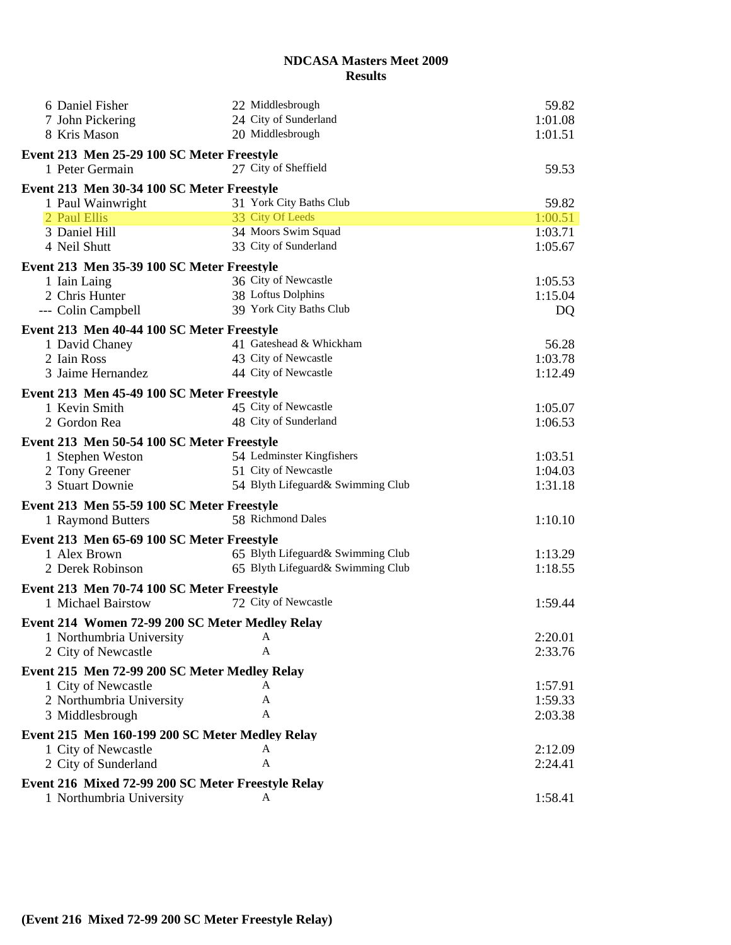| 6 Daniel Fisher                                            | 22 Middlesbrough                  | 59.82     |
|------------------------------------------------------------|-----------------------------------|-----------|
| 7 John Pickering                                           | 24 City of Sunderland             | 1:01.08   |
| 8 Kris Mason                                               | 20 Middlesbrough                  | 1:01.51   |
| Event 213 Men 25-29 100 SC Meter Freestyle                 |                                   |           |
| 1 Peter Germain                                            | 27 City of Sheffield              | 59.53     |
| Event 213 Men 30-34 100 SC Meter Freestyle                 |                                   |           |
| 1 Paul Wainwright                                          | 31 York City Baths Club           | 59.82     |
| 2 Paul Ellis                                               | 33 City Of Leeds                  | 1:00.51   |
| 3 Daniel Hill                                              | 34 Moors Swim Squad               | 1:03.71   |
| 4 Neil Shutt                                               | 33 City of Sunderland             | 1:05.67   |
| Event 213 Men 35-39 100 SC Meter Freestyle                 |                                   |           |
| 1 Iain Laing                                               | 36 City of Newcastle              | 1:05.53   |
| 2 Chris Hunter                                             | 38 Loftus Dolphins                | 1:15.04   |
| --- Colin Campbell                                         | 39 York City Baths Club           | <b>DQ</b> |
| Event 213 Men 40-44 100 SC Meter Freestyle                 |                                   |           |
| 1 David Chaney                                             | 41 Gateshead & Whickham           | 56.28     |
| 2 Iain Ross                                                | 43 City of Newcastle              | 1:03.78   |
| 3 Jaime Hernandez                                          | 44 City of Newcastle              | 1:12.49   |
| Event 213 Men 45-49 100 SC Meter Freestyle                 |                                   |           |
| 1 Kevin Smith                                              | 45 City of Newcastle              | 1:05.07   |
| 2 Gordon Rea                                               | 48 City of Sunderland             | 1:06.53   |
| Event 213 Men 50-54 100 SC Meter Freestyle                 |                                   |           |
| 1 Stephen Weston                                           | 54 Ledminster Kingfishers         | 1:03.51   |
| 2 Tony Greener                                             | 51 City of Newcastle              | 1:04.03   |
| 3 Stuart Downie                                            | 54 Blyth Lifeguard& Swimming Club | 1:31.18   |
| Event 213 Men 55-59 100 SC Meter Freestyle                 |                                   |           |
| 1 Raymond Butters                                          | 58 Richmond Dales                 | 1:10.10   |
|                                                            |                                   |           |
| Event 213 Men 65-69 100 SC Meter Freestyle<br>1 Alex Brown | 65 Blyth Lifeguard& Swimming Club | 1:13.29   |
| 2 Derek Robinson                                           | 65 Blyth Lifeguard& Swimming Club | 1:18.55   |
|                                                            |                                   |           |
| Event 213 Men 70-74 100 SC Meter Freestyle                 | 72 City of Newcastle              |           |
| 1 Michael Bairstow                                         |                                   | 1:59.44   |
| Event 214 Women 72-99 200 SC Meter Medley Relay            |                                   |           |
| 1 Northumbria University                                   | A                                 | 2:20.01   |
| 2 City of Newcastle                                        | A                                 | 2:33.76   |
| Event 215 Men 72-99 200 SC Meter Medley Relay              |                                   |           |
| 1 City of Newcastle                                        | А                                 | 1:57.91   |
| 2 Northumbria University                                   | A                                 | 1:59.33   |
| 3 Middlesbrough                                            | A                                 | 2:03.38   |
| Event 215 Men 160-199 200 SC Meter Medley Relay            |                                   |           |
| 1 City of Newcastle                                        | A                                 | 2:12.09   |
| 2 City of Sunderland                                       | A                                 | 2:24.41   |
| Event 216 Mixed 72-99 200 SC Meter Freestyle Relay         |                                   |           |
| 1 Northumbria University                                   | A                                 | 1:58.41   |
|                                                            |                                   |           |